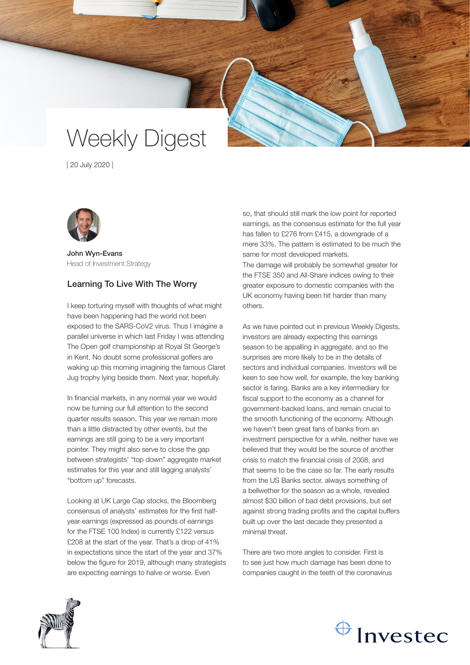# Weekly Digest

| 20 July 2020 |



John Wyn-Evans Head of Investment Strategy

### Learning To Live With The Worry

I keep torturing myself with thoughts of what might have been happening had the world not been exposed to the SARS-CoV2 virus. Thus I imagine a parallel universe in which last Friday I was attending The Open golf championship at Royal St George's in Kent. No doubt some professional golfers are waking up this morning imagining the famous Claret Jug trophy lying beside them. Next year, hopefully.

In financial markets, in any normal year we would now be turning our full attention to the second quarter results season. This year we remain more than a little distracted by other events, but the earnings are still going to be a very important pointer. They might also serve to close the gap between strategists' "top down" aggregate market estimates for this year and still lagging analysts' "bottom up" forecasts.

Looking at UK Large Cap stocks, the Bloomberg consensus of analysts' estimates for the first halfyear earnings (expressed as pounds of earnings for the FTSE 100 Index) is currently £122 versus £208 at the start of the year. That's a drop of 41% in expectations since the start of the year and 37% below the figure for 2019, although many strategists are expecting earnings to halve or worse. Even

so, that should still mark the low point for reported earnings, as the consensus estimate for the full year has fallen to £276 from £415, a downgrade of a mere 33%. The pattern is estimated to be much the same for most developed markets. The damage will probably be somewhat greater for the FTSE 350 and All-Share indices owing to their greater exposure to domestic companies with the UK economy having been hit harder than many others.

As we have pointed out in previous Weekly Digests, investors are already expecting this earnings season to be appalling in aggregate, and so the surprises are more likely to be in the details of sectors and individual companies. Investors will be keen to see how well, for example, the key banking sector is faring. Banks are a key intermediary for fiscal support to the economy as a channel for government-backed loans, and remain crucial to the smooth functioning of the economy. Although we haven't been great fans of banks from an investment perspective for a while, neither have we believed that they would be the source of another crisis to match the financial crisis of 2008, and that seems to be the case so far. The early results from the US Banks sector, always something of a bellwether for the season as a whole, revealed almost \$30 billion of bad debt provisions, but set against strong trading profits and the capital buffers built up over the last decade they presented a minimal threat.

There are two more angles to consider. First is to see just how much damage has been done to companies caught in the teeth of the coronavirus



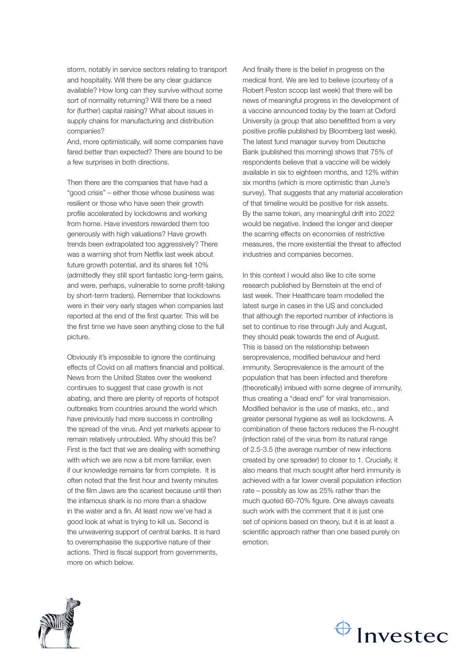storm, notably in service sectors relating to transport and hospitality. Will there be any clear guidance available? How long can they survive without some sort of normality returning? Will there be a need for (further) capital raising? What about issues in supply chains for manufacturing and distribution companies?

And, more optimistically, will some companies have fared better than expected? There are bound to be a few surprises in both directions.

Then there are the companies that have had a "good crisis" – either those whose business was resilient or those who have seen their growth profile accelerated by lockdowns and working from home. Have investors rewarded them too generously with high valuations? Have growth trends been extrapolated too aggressively? There was a warning shot from Netflix last week about future growth potential, and its shares fell 10% (admittedly they still sport fantastic long-term gains, and were, perhaps, vulnerable to some profit-taking by short-term traders). Remember that lockdowns were in their very early stages when companies last reported at the end of the first quarter. This will be the first time we have seen anything close to the full picture.

Obviously it's impossible to ignore the continuing effects of Covid on all matters financial and political. News from the United States over the weekend continues to suggest that case growth is not abating, and there are plenty of reports of hotspot outbreaks from countries around the world which have previously had more success in controlling the spread of the virus. And yet markets appear to remain relatively untroubled. Why should this be? First is the fact that we are dealing with something with which we are now a bit more familiar, even if our knowledge remains far from complete. It is often noted that the first hour and twenty minutes of the film Jaws are the scariest because until then the infamous shark is no more than a shadow in the water and a fin. At least now we've had a good look at what is trying to kill us. Second is the unwavering support of central banks. It is hard to overemphasise the supportive nature of their actions. Third is fiscal support from governments, more on which below.

And finally there is the belief in progress on the medical front. We are led to believe (courtesy of a Robert Peston scoop last week) that there will be news of meaningful progress in the development of a vaccine announced today by the team at Oxford University (a group that also benefitted from a very positive profile published by Bloomberg last week). The latest fund manager survey from Deutsche Bank (published this morning) shows that 75% of respondents believe that a vaccine will be widely available in six to eighteen months, and 12% within six months (which is more optimistic than June's survey). That suggests that any material acceleration of that timeline would be positive for risk assets. By the same token, any meaningful drift into 2022 would be negative. Indeed the longer and deeper the scarring effects on economies of restrictive measures, the more existential the threat to affected industries and companies becomes.

In this context I would also like to cite some research published by Bernstein at the end of last week. Their Healthcare team modelled the latest surge in cases in the US and concluded that although the reported number of infections is set to continue to rise through July and August, they should peak towards the end of August. This is based on the relationship between seroprevalence, modified behaviour and herd immunity. Seroprevalence is the amount of the population that has been infected and therefore (theoretically) imbued with some degree of immunity, thus creating a "dead end" for viral transmission. Modified behavior is the use of masks, etc., and greater personal hygiene as well as lockdowns. A combination of these factors reduces the R-nought (infection rate) of the virus from its natural range of 2.5-3.5 (the average number of new infections created by one spreader) to closer to 1. Crucially, it also means that much sought after herd immunity is achieved with a far lower overall population infection rate – possibly as low as 25% rather than the much quoted 60-70% figure. One always caveats such work with the comment that it is just one set of opinions based on theory, but it is at least a scientific approach rather than one based purely on emotion.



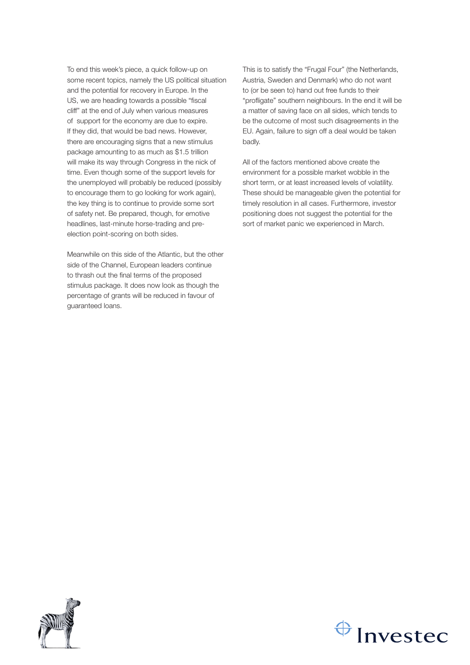To end this week's piece, a quick follow-up on some recent topics, namely the US political situation and the potential for recovery in Europe. In the US, we are heading towards a possible "fiscal cliff" at the end of July when various measures of support for the economy are due to expire. If they did, that would be bad news. However, there are encouraging signs that a new stimulus package amounting to as much as \$1.5 trillion will make its way through Congress in the nick of time. Even though some of the support levels for the unemployed will probably be reduced (possibly to encourage them to go looking for work again), the key thing is to continue to provide some sort of safety net. Be prepared, though, for emotive headlines, last-minute horse-trading and preelection point-scoring on both sides.

Meanwhile on this side of the Atlantic, but the other side of the Channel, European leaders continue to thrash out the final terms of the proposed stimulus package. It does now look as though the percentage of grants will be reduced in favour of guaranteed loans.

This is to satisfy the "Frugal Four" (the Netherlands, Austria, Sweden and Denmark) who do not want to (or be seen to) hand out free funds to their "profligate" southern neighbours. In the end it will be a matter of saving face on all sides, which tends to be the outcome of most such disagreements in the EU. Again, failure to sign off a deal would be taken badly.

All of the factors mentioned above create the environment for a possible market wobble in the short term, or at least increased levels of volatility. These should be manageable given the potential for timely resolution in all cases. Furthermore, investor positioning does not suggest the potential for the sort of market panic we experienced in March.